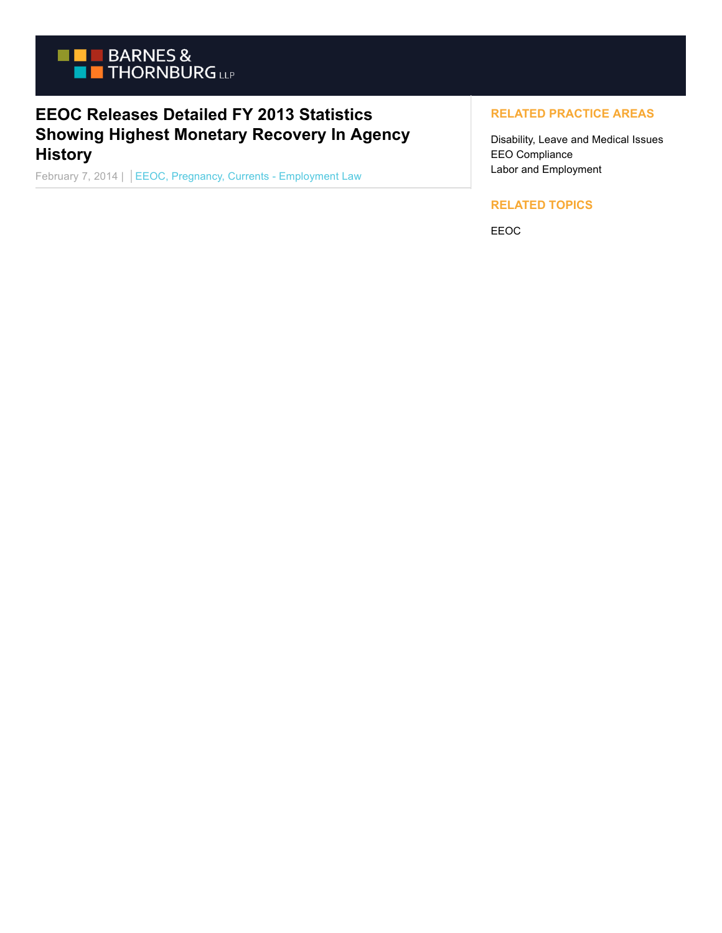

# **EEOC Releases Detailed FY 2013 Statistics Showing Highest Monetary Recovery In Agency History**

February 7, 2014 | EEOC, Pregnancy, Currents - Employment Law

## **RELATED PRACTICE AREAS**

Disability, Leave and Medical Issues EEO Compliance Labor and Employment

### **RELATED TOPICS**

EEOC